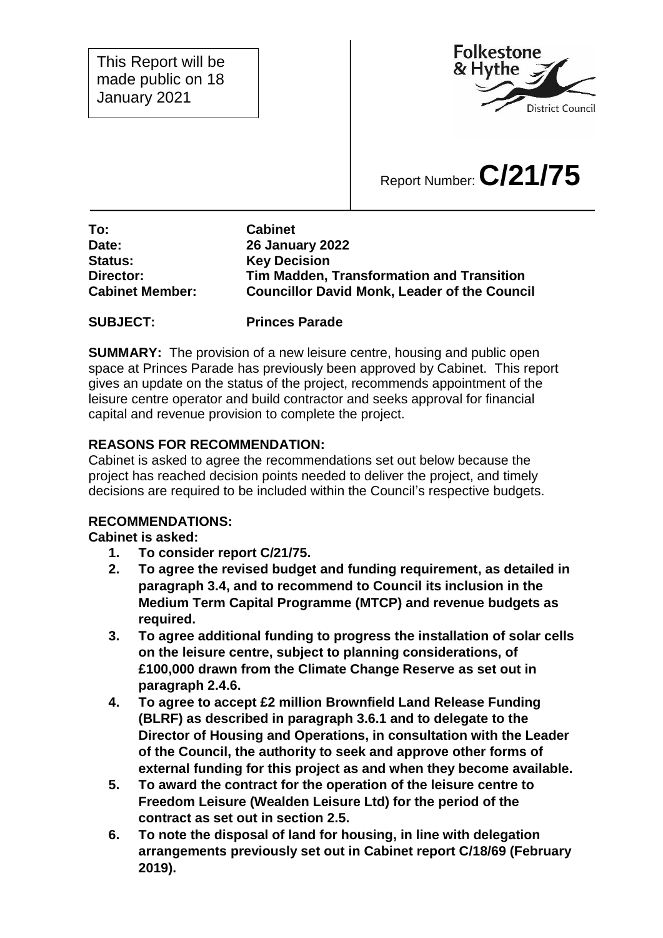This Report will be made public on 18 January 2021



# Report Number:**C/21/75**

**To: Cabinet Date: 26 January 2022 Status: Key Decision Director: Tim Madden, Transformation and Transition Cabinet Member: Councillor David Monk, Leader of the Council**

#### **SUBJECT: Princes Parade**

**SUMMARY:** The provision of a new leisure centre, housing and public open space at Princes Parade has previously been approved by Cabinet. This report gives an update on the status of the project, recommends appointment of the leisure centre operator and build contractor and seeks approval for financial capital and revenue provision to complete the project.

## **REASONS FOR RECOMMENDATION:**

Cabinet is asked to agree the recommendations set out below because the project has reached decision points needed to deliver the project, and timely decisions are required to be included within the Council's respective budgets.

#### **RECOMMENDATIONS:**

**Cabinet is asked:**

- **1. To consider report C/21/75.**
- **2. To agree the revised budget and funding requirement, as detailed in paragraph 3.4, and to recommend to Council its inclusion in the Medium Term Capital Programme (MTCP) and revenue budgets as required.**
- **3. To agree additional funding to progress the installation of solar cells on the leisure centre, subject to planning considerations, of £100,000 drawn from the Climate Change Reserve as set out in paragraph 2.4.6.**
- **4. To agree to accept £2 million Brownfield Land Release Funding (BLRF) as described in paragraph 3.6.1 and to delegate to the Director of Housing and Operations, in consultation with the Leader of the Council, the authority to seek and approve other forms of external funding for this project as and when they become available.**
- **5. To award the contract for the operation of the leisure centre to Freedom Leisure (Wealden Leisure Ltd) for the period of the contract as set out in section 2.5.**
- **6. To note the disposal of land for housing, in line with delegation arrangements previously set out in Cabinet report C/18/69 (February 2019).**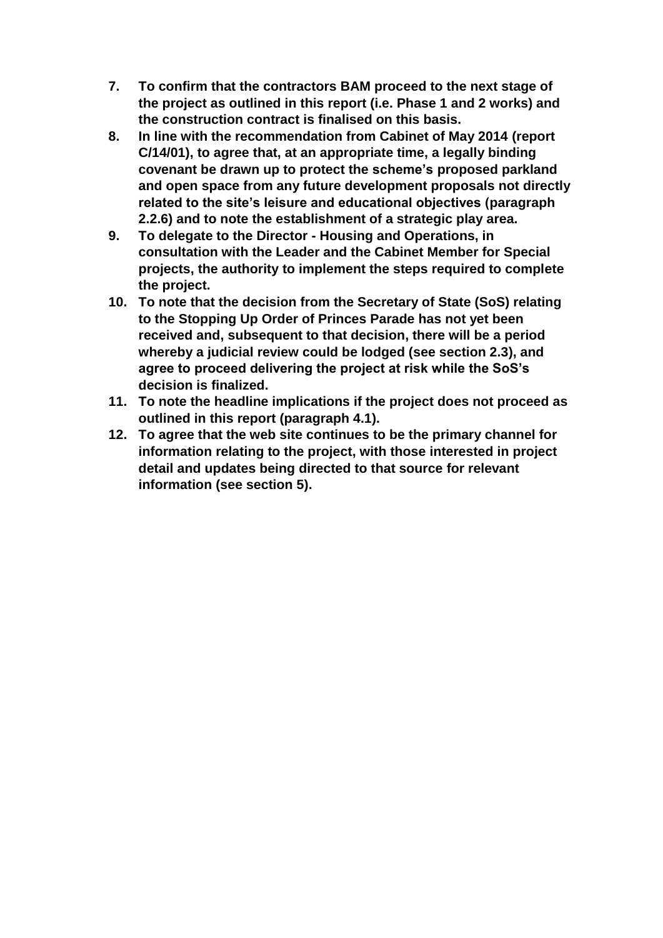- **7. To confirm that the contractors BAM proceed to the next stage of the project as outlined in this report (i.e. Phase 1 and 2 works) and the construction contract is finalised on this basis.**
- **8. In line with the recommendation from Cabinet of May 2014 (report C/14/01), to agree that, at an appropriate time, a legally binding covenant be drawn up to protect the scheme's proposed parkland and open space from any future development proposals not directly related to the site's leisure and educational objectives (paragraph 2.2.6) and to note the establishment of a strategic play area.**
- **9. To delegate to the Director - Housing and Operations, in consultation with the Leader and the Cabinet Member for Special projects, the authority to implement the steps required to complete the project.**
- **10. To note that the decision from the Secretary of State (SoS) relating to the Stopping Up Order of Princes Parade has not yet been received and, subsequent to that decision, there will be a period whereby a judicial review could be lodged (see section 2.3), and agree to proceed delivering the project at risk while the SoS's decision is finalized.**
- **11. To note the headline implications if the project does not proceed as outlined in this report (paragraph 4.1).**
- **12. To agree that the web site continues to be the primary channel for information relating to the project, with those interested in project detail and updates being directed to that source for relevant information (see section 5).**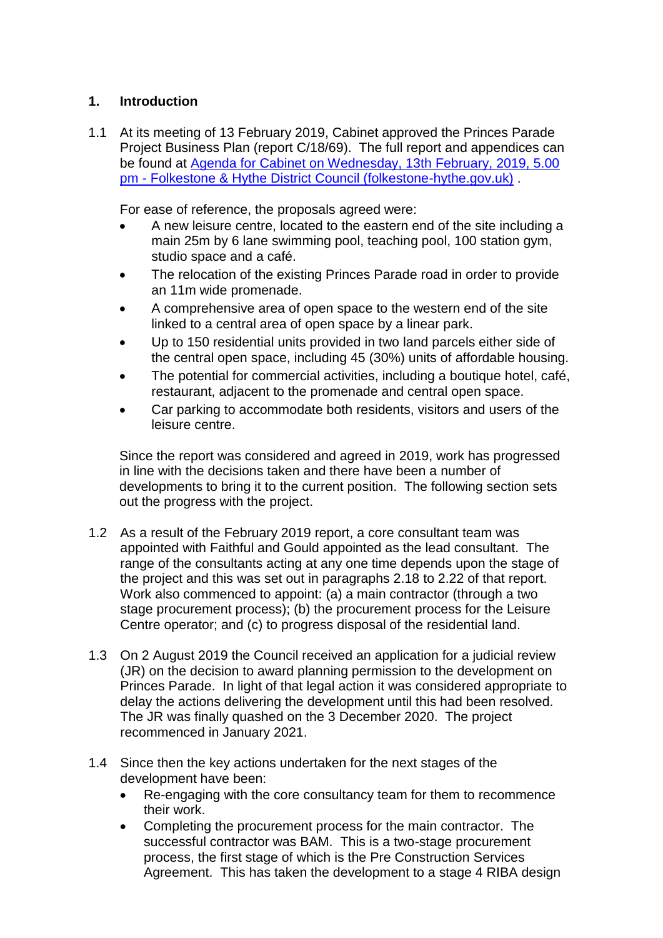## **1. Introduction**

1.1 At its meeting of 13 February 2019, Cabinet approved the Princes Parade Project Business Plan (report C/18/69). The full report and appendices can be found at [Agenda for Cabinet on Wednesday, 13th February, 2019, 5.00](https://www.folkestone-hythe.gov.uk/moderngov/ieListDocuments.aspx?CId=142&MID=4577)  pm - [Folkestone & Hythe District Council \(folkestone-hythe.gov.uk\)](https://www.folkestone-hythe.gov.uk/moderngov/ieListDocuments.aspx?CId=142&MID=4577) .

For ease of reference, the proposals agreed were:

- A new leisure centre, located to the eastern end of the site including a main 25m by 6 lane swimming pool, teaching pool, 100 station gym, studio space and a café.
- The relocation of the existing Princes Parade road in order to provide an 11m wide promenade.
- A comprehensive area of open space to the western end of the site linked to a central area of open space by a linear park.
- Up to 150 residential units provided in two land parcels either side of the central open space, including 45 (30%) units of affordable housing.
- The potential for commercial activities, including a boutique hotel, café, restaurant, adjacent to the promenade and central open space.
- Car parking to accommodate both residents, visitors and users of the leisure centre.

Since the report was considered and agreed in 2019, work has progressed in line with the decisions taken and there have been a number of developments to bring it to the current position. The following section sets out the progress with the project.

- 1.2 As a result of the February 2019 report, a core consultant team was appointed with Faithful and Gould appointed as the lead consultant. The range of the consultants acting at any one time depends upon the stage of the project and this was set out in paragraphs 2.18 to 2.22 of that report. Work also commenced to appoint: (a) a main contractor (through a two stage procurement process); (b) the procurement process for the Leisure Centre operator; and (c) to progress disposal of the residential land.
- 1.3 On 2 August 2019 the Council received an application for a judicial review (JR) on the decision to award planning permission to the development on Princes Parade. In light of that legal action it was considered appropriate to delay the actions delivering the development until this had been resolved. The JR was finally quashed on the 3 December 2020. The project recommenced in January 2021.
- 1.4 Since then the key actions undertaken for the next stages of the development have been:
	- Re-engaging with the core consultancy team for them to recommence their work.
	- Completing the procurement process for the main contractor. The successful contractor was BAM. This is a two-stage procurement process, the first stage of which is the Pre Construction Services Agreement. This has taken the development to a stage 4 RIBA design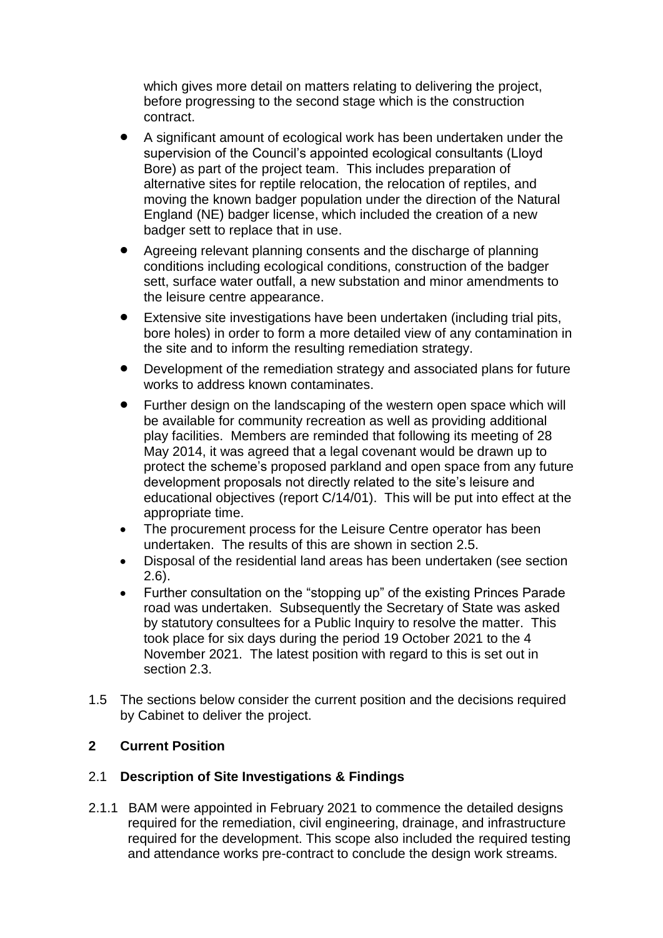which gives more detail on matters relating to delivering the project, before progressing to the second stage which is the construction contract.

- A significant amount of ecological work has been undertaken under the supervision of the Council's appointed ecological consultants (Lloyd Bore) as part of the project team. This includes preparation of alternative sites for reptile relocation, the relocation of reptiles, and moving the known badger population under the direction of the Natural England (NE) badger license, which included the creation of a new badger sett to replace that in use.
- Agreeing relevant planning consents and the discharge of planning conditions including ecological conditions, construction of the badger sett, surface water outfall, a new substation and minor amendments to the leisure centre appearance.
- Extensive site investigations have been undertaken (including trial pits, bore holes) in order to form a more detailed view of any contamination in the site and to inform the resulting remediation strategy.
- Development of the remediation strategy and associated plans for future works to address known contaminates.
- Further design on the landscaping of the western open space which will be available for community recreation as well as providing additional play facilities. Members are reminded that following its meeting of 28 May 2014, it was agreed that a legal covenant would be drawn up to protect the scheme's proposed parkland and open space from any future development proposals not directly related to the site's leisure and educational objectives (report C/14/01). This will be put into effect at the appropriate time.
- The procurement process for the Leisure Centre operator has been undertaken. The results of this are shown in section 2.5.
- Disposal of the residential land areas has been undertaken (see section 2.6).
- Further consultation on the "stopping up" of the existing Princes Parade road was undertaken. Subsequently the Secretary of State was asked by statutory consultees for a Public Inquiry to resolve the matter. This took place for six days during the period 19 October 2021 to the 4 November 2021. The latest position with regard to this is set out in section 2.3.
- 1.5 The sections below consider the current position and the decisions required by Cabinet to deliver the project.

## **2 Current Position**

## 2.1 **Description of Site Investigations & Findings**

2.1.1 BAM were appointed in February 2021 to commence the detailed designs required for the remediation, civil engineering, drainage, and infrastructure required for the development. This scope also included the required testing and attendance works pre-contract to conclude the design work streams.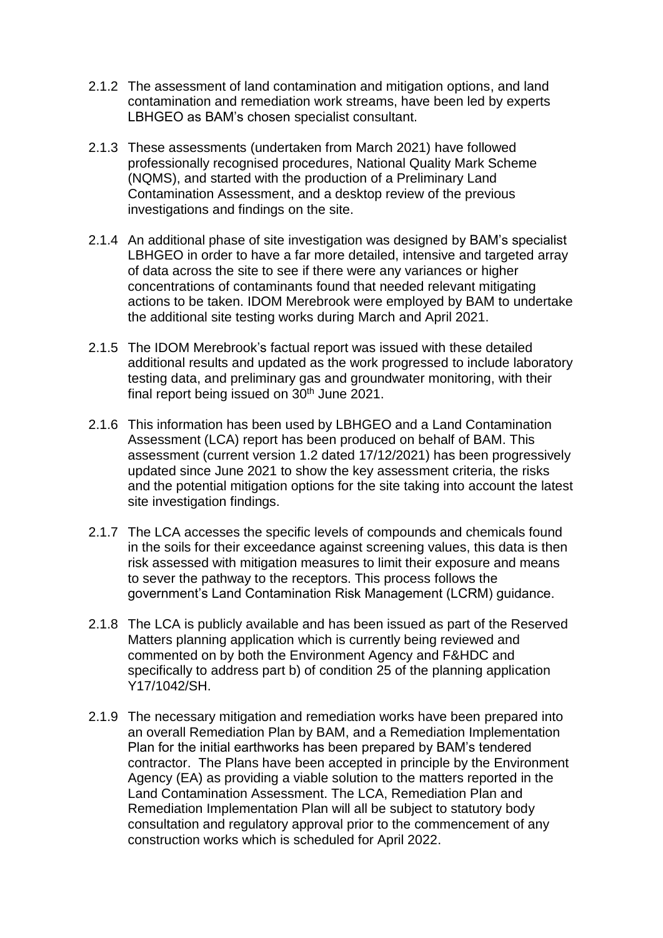- 2.1.2 The assessment of land contamination and mitigation options, and land contamination and remediation work streams, have been led by experts LBHGEO as BAM's chosen specialist consultant.
- 2.1.3 These assessments (undertaken from March 2021) have followed professionally recognised procedures, National Quality Mark Scheme (NQMS), and started with the production of a Preliminary Land Contamination Assessment, and a desktop review of the previous investigations and findings on the site.
- 2.1.4 An additional phase of site investigation was designed by BAM's specialist LBHGEO in order to have a far more detailed, intensive and targeted array of data across the site to see if there were any variances or higher concentrations of contaminants found that needed relevant mitigating actions to be taken. IDOM Merebrook were employed by BAM to undertake the additional site testing works during March and April 2021.
- 2.1.5 The IDOM Merebrook's factual report was issued with these detailed additional results and updated as the work progressed to include laboratory testing data, and preliminary gas and groundwater monitoring, with their final report being issued on  $30<sup>th</sup>$  June 2021.
- 2.1.6 This information has been used by LBHGEO and a Land Contamination Assessment (LCA) report has been produced on behalf of BAM. This assessment (current version 1.2 dated 17/12/2021) has been progressively updated since June 2021 to show the key assessment criteria, the risks and the potential mitigation options for the site taking into account the latest site investigation findings.
- 2.1.7 The LCA accesses the specific levels of compounds and chemicals found in the soils for their exceedance against screening values, this data is then risk assessed with mitigation measures to limit their exposure and means to sever the pathway to the receptors. This process follows the government's Land Contamination Risk Management (LCRM) guidance.
- 2.1.8 The LCA is publicly available and has been issued as part of the Reserved Matters planning application which is currently being reviewed and commented on by both the Environment Agency and F&HDC and specifically to address part b) of condition 25 of the planning application Y17/1042/SH.
- 2.1.9 The necessary mitigation and remediation works have been prepared into an overall Remediation Plan by BAM, and a Remediation Implementation Plan for the initial earthworks has been prepared by BAM's tendered contractor. The Plans have been accepted in principle by the Environment Agency (EA) as providing a viable solution to the matters reported in the Land Contamination Assessment. The LCA, Remediation Plan and Remediation Implementation Plan will all be subject to statutory body consultation and regulatory approval prior to the commencement of any construction works which is scheduled for April 2022.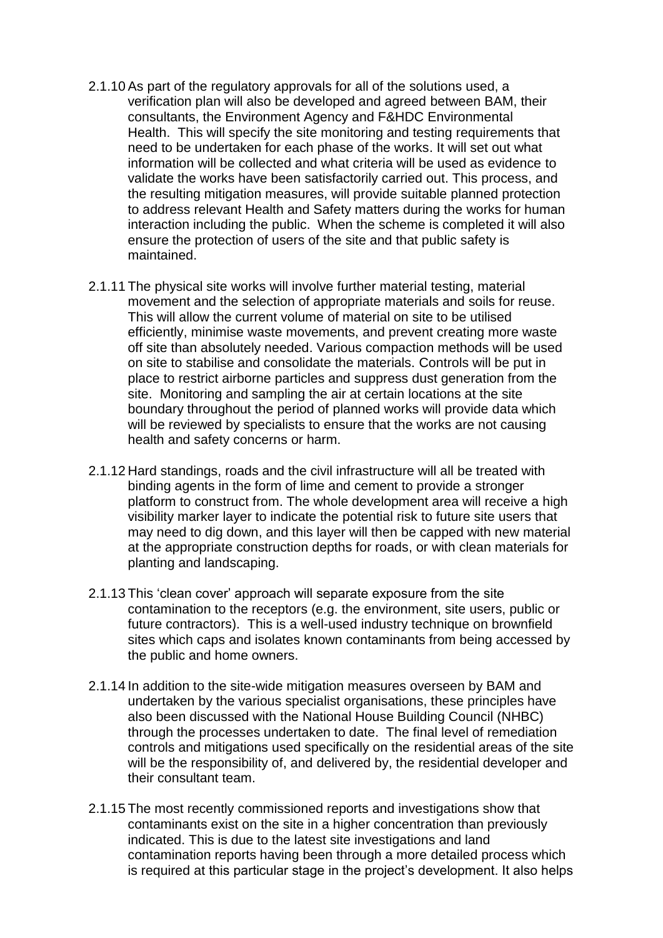- 2.1.10As part of the regulatory approvals for all of the solutions used, a verification plan will also be developed and agreed between BAM, their consultants, the Environment Agency and F&HDC Environmental Health. This will specify the site monitoring and testing requirements that need to be undertaken for each phase of the works. It will set out what information will be collected and what criteria will be used as evidence to validate the works have been satisfactorily carried out. This process, and the resulting mitigation measures, will provide suitable planned protection to address relevant Health and Safety matters during the works for human interaction including the public. When the scheme is completed it will also ensure the protection of users of the site and that public safety is maintained.
- 2.1.11 The physical site works will involve further material testing, material movement and the selection of appropriate materials and soils for reuse. This will allow the current volume of material on site to be utilised efficiently, minimise waste movements, and prevent creating more waste off site than absolutely needed. Various compaction methods will be used on site to stabilise and consolidate the materials. Controls will be put in place to restrict airborne particles and suppress dust generation from the site. Monitoring and sampling the air at certain locations at the site boundary throughout the period of planned works will provide data which will be reviewed by specialists to ensure that the works are not causing health and safety concerns or harm.
- 2.1.12 Hard standings, roads and the civil infrastructure will all be treated with binding agents in the form of lime and cement to provide a stronger platform to construct from. The whole development area will receive a high visibility marker layer to indicate the potential risk to future site users that may need to dig down, and this layer will then be capped with new material at the appropriate construction depths for roads, or with clean materials for planting and landscaping.
- 2.1.13 This 'clean cover' approach will separate exposure from the site contamination to the receptors (e.g. the environment, site users, public or future contractors). This is a well-used industry technique on brownfield sites which caps and isolates known contaminants from being accessed by the public and home owners.
- 2.1.14 In addition to the site-wide mitigation measures overseen by BAM and undertaken by the various specialist organisations, these principles have also been discussed with the National House Building Council (NHBC) through the processes undertaken to date. The final level of remediation controls and mitigations used specifically on the residential areas of the site will be the responsibility of, and delivered by, the residential developer and their consultant team.
- 2.1.15 The most recently commissioned reports and investigations show that contaminants exist on the site in a higher concentration than previously indicated. This is due to the latest site investigations and land contamination reports having been through a more detailed process which is required at this particular stage in the project's development. It also helps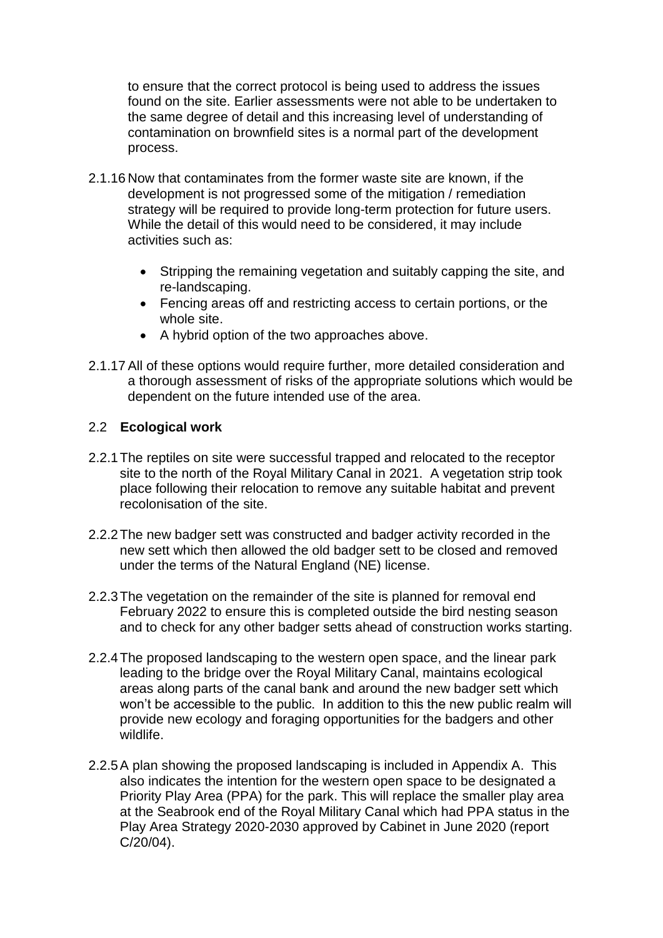to ensure that the correct protocol is being used to address the issues found on the site. Earlier assessments were not able to be undertaken to the same degree of detail and this increasing level of understanding of contamination on brownfield sites is a normal part of the development process.

- 2.1.16 Now that contaminates from the former waste site are known, if the development is not progressed some of the mitigation / remediation strategy will be required to provide long-term protection for future users. While the detail of this would need to be considered, it may include activities such as:
	- Stripping the remaining vegetation and suitably capping the site, and re-landscaping.
	- Fencing areas off and restricting access to certain portions, or the whole site.
	- A hybrid option of the two approaches above.
- 2.1.17All of these options would require further, more detailed consideration and a thorough assessment of risks of the appropriate solutions which would be dependent on the future intended use of the area.

#### 2.2 **Ecological work**

- 2.2.1The reptiles on site were successful trapped and relocated to the receptor site to the north of the Royal Military Canal in 2021. A vegetation strip took place following their relocation to remove any suitable habitat and prevent recolonisation of the site.
- 2.2.2The new badger sett was constructed and badger activity recorded in the new sett which then allowed the old badger sett to be closed and removed under the terms of the Natural England (NE) license.
- 2.2.3The vegetation on the remainder of the site is planned for removal end February 2022 to ensure this is completed outside the bird nesting season and to check for any other badger setts ahead of construction works starting.
- 2.2.4The proposed landscaping to the western open space, and the linear park leading to the bridge over the Royal Military Canal, maintains ecological areas along parts of the canal bank and around the new badger sett which won't be accessible to the public. In addition to this the new public realm will provide new ecology and foraging opportunities for the badgers and other wildlife.
- 2.2.5A plan showing the proposed landscaping is included in Appendix A. This also indicates the intention for the western open space to be designated a Priority Play Area (PPA) for the park. This will replace the smaller play area at the Seabrook end of the Royal Military Canal which had PPA status in the Play Area Strategy 2020-2030 approved by Cabinet in June 2020 (report C/20/04).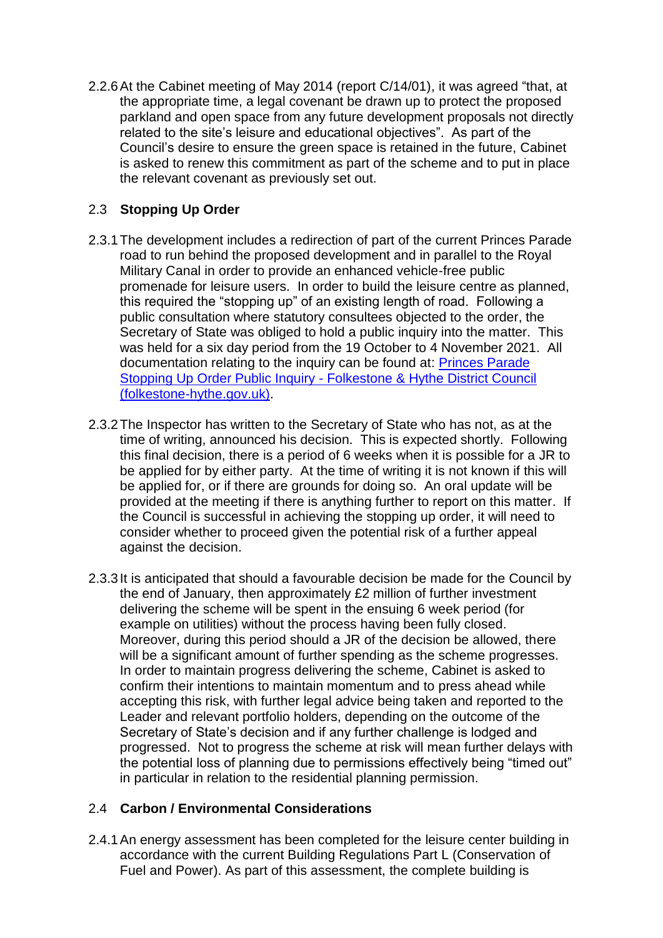2.2.6At the Cabinet meeting of May 2014 (report C/14/01), it was agreed "that, at the appropriate time, a legal covenant be drawn up to protect the proposed parkland and open space from any future development proposals not directly related to the site's leisure and educational objectives". As part of the Council's desire to ensure the green space is retained in the future, Cabinet is asked to renew this commitment as part of the scheme and to put in place the relevant covenant as previously set out.

## 2.3 **Stopping Up Order**

- 2.3.1The development includes a redirection of part of the current Princes Parade road to run behind the proposed development and in parallel to the Royal Military Canal in order to provide an enhanced vehicle-free public promenade for leisure users. In order to build the leisure centre as planned, this required the "stopping up" of an existing length of road. Following a public consultation where statutory consultees objected to the order, the Secretary of State was obliged to hold a public inquiry into the matter. This was held for a six day period from the 19 October to 4 November 2021. All documentation relating to the inquiry can be found at: [Princes Parade](https://www.folkestone-hythe.gov.uk/princesparade/stopping-up-order/public-inquiry) Stopping Up Order Public Inquiry - [Folkestone & Hythe District Council](https://www.folkestone-hythe.gov.uk/princesparade/stopping-up-order/public-inquiry)  [\(folkestone-hythe.gov.uk\).](https://www.folkestone-hythe.gov.uk/princesparade/stopping-up-order/public-inquiry)
- 2.3.2The Inspector has written to the Secretary of State who has not, as at the time of writing, announced his decision. This is expected shortly. Following this final decision, there is a period of 6 weeks when it is possible for a JR to be applied for by either party. At the time of writing it is not known if this will be applied for, or if there are grounds for doing so. An oral update will be provided at the meeting if there is anything further to report on this matter. If the Council is successful in achieving the stopping up order, it will need to consider whether to proceed given the potential risk of a further appeal against the decision.
- 2.3.3It is anticipated that should a favourable decision be made for the Council by the end of January, then approximately £2 million of further investment delivering the scheme will be spent in the ensuing 6 week period (for example on utilities) without the process having been fully closed. Moreover, during this period should a JR of the decision be allowed, there will be a significant amount of further spending as the scheme progresses. In order to maintain progress delivering the scheme, Cabinet is asked to confirm their intentions to maintain momentum and to press ahead while accepting this risk, with further legal advice being taken and reported to the Leader and relevant portfolio holders, depending on the outcome of the Secretary of State's decision and if any further challenge is lodged and progressed. Not to progress the scheme at risk will mean further delays with the potential loss of planning due to permissions effectively being "timed out" in particular in relation to the residential planning permission.

## 2.4 **Carbon / Environmental Considerations**

2.4.1An energy assessment has been completed for the leisure center building in accordance with the current Building Regulations Part L (Conservation of Fuel and Power). As part of this assessment, the complete building is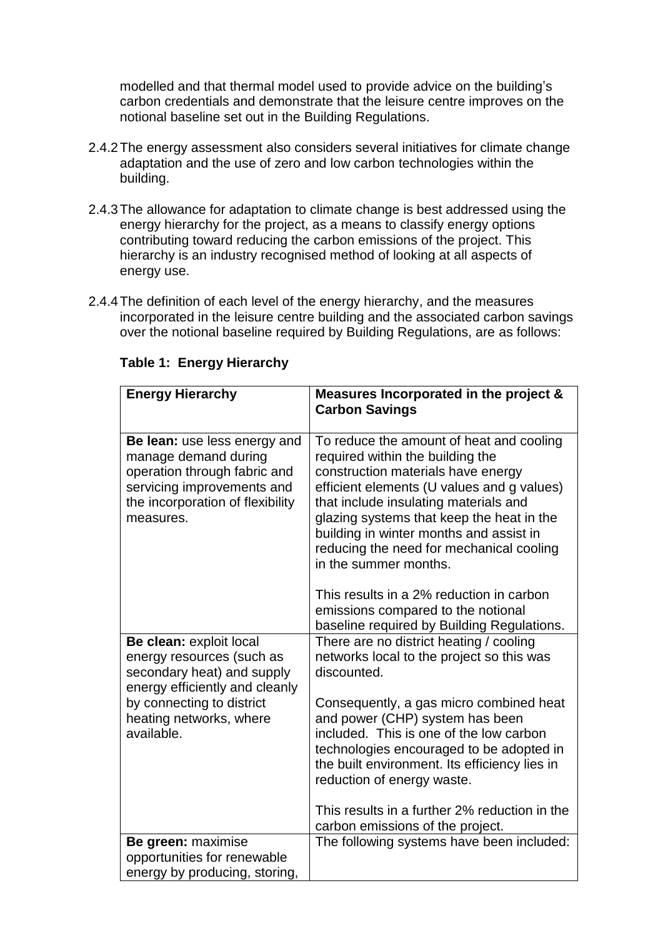modelled and that thermal model used to provide advice on the building's carbon credentials and demonstrate that the leisure centre improves on the notional baseline set out in the Building Regulations.

- 2.4.2The energy assessment also considers several initiatives for climate change adaptation and the use of zero and low carbon technologies within the building.
- 2.4.3The allowance for adaptation to climate change is best addressed using the energy hierarchy for the project, as a means to classify energy options contributing toward reducing the carbon emissions of the project. This hierarchy is an industry recognised method of looking at all aspects of energy use.
- 2.4.4The definition of each level of the energy hierarchy, and the measures incorporated in the leisure centre building and the associated carbon savings over the notional baseline required by Building Regulations, are as follows:

| <b>Energy Hierarchy</b>                                                                                                                                             | Measures Incorporated in the project &<br><b>Carbon Savings</b>                                                                                                                                                                                                                                                                                                        |
|---------------------------------------------------------------------------------------------------------------------------------------------------------------------|------------------------------------------------------------------------------------------------------------------------------------------------------------------------------------------------------------------------------------------------------------------------------------------------------------------------------------------------------------------------|
| Be lean: use less energy and<br>manage demand during<br>operation through fabric and<br>servicing improvements and<br>the incorporation of flexibility<br>measures. | To reduce the amount of heat and cooling<br>required within the building the<br>construction materials have energy<br>efficient elements (U values and g values)<br>that include insulating materials and<br>glazing systems that keep the heat in the<br>building in winter months and assist in<br>reducing the need for mechanical cooling<br>in the summer months. |
|                                                                                                                                                                     | This results in a 2% reduction in carbon<br>emissions compared to the notional<br>baseline required by Building Regulations.                                                                                                                                                                                                                                           |
| Be clean: exploit local<br>energy resources (such as<br>secondary heat) and supply<br>energy efficiently and cleanly                                                | There are no district heating / cooling<br>networks local to the project so this was<br>discounted.                                                                                                                                                                                                                                                                    |
| by connecting to district<br>heating networks, where<br>available.                                                                                                  | Consequently, a gas micro combined heat<br>and power (CHP) system has been<br>included. This is one of the low carbon<br>technologies encouraged to be adopted in<br>the built environment. Its efficiency lies in<br>reduction of energy waste.                                                                                                                       |
|                                                                                                                                                                     | This results in a further 2% reduction in the<br>carbon emissions of the project.                                                                                                                                                                                                                                                                                      |
| Be green: maximise<br>opportunities for renewable<br>energy by producing, storing,                                                                                  | The following systems have been included:                                                                                                                                                                                                                                                                                                                              |

#### **Table 1: Energy Hierarchy**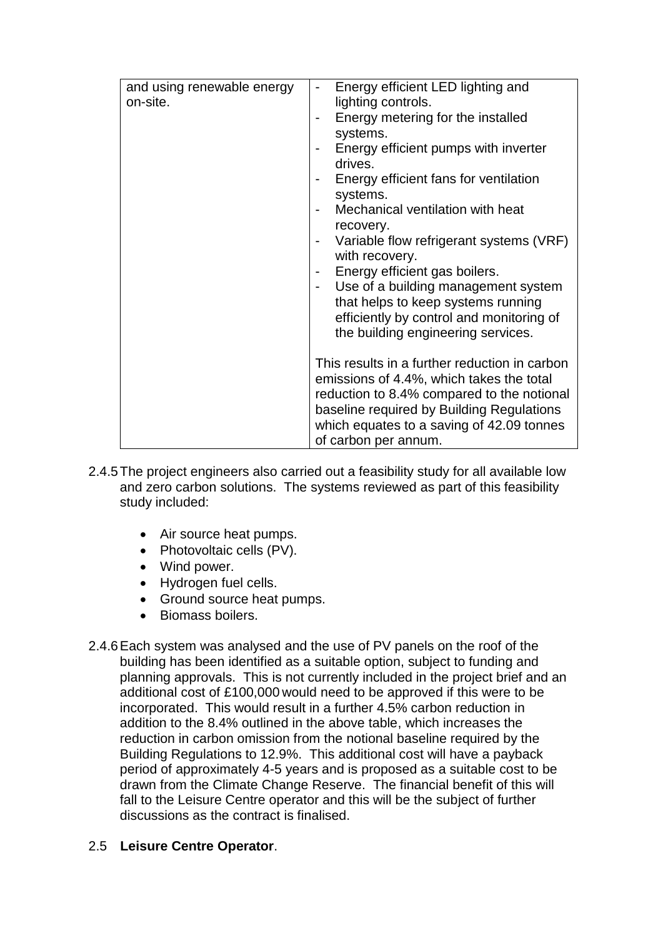| Energy efficient LED lighting and<br>and using renewable energy<br>$\qquad \qquad \blacksquare$<br>on-site.<br>lighting controls.<br>Energy metering for the installed<br>$\overline{\phantom{a}}$<br>systems.<br>Energy efficient pumps with inverter<br>$\qquad \qquad \blacksquare$<br>drives.<br>Energy efficient fans for ventilation<br>systems.<br>Mechanical ventilation with heat<br>recovery.<br>Variable flow refrigerant systems (VRF)<br>with recovery.<br>Energy efficient gas boilers.<br>$\overline{\phantom{a}}$<br>Use of a building management system<br>$\qquad \qquad \blacksquare$<br>that helps to keep systems running<br>efficiently by control and monitoring of |
|--------------------------------------------------------------------------------------------------------------------------------------------------------------------------------------------------------------------------------------------------------------------------------------------------------------------------------------------------------------------------------------------------------------------------------------------------------------------------------------------------------------------------------------------------------------------------------------------------------------------------------------------------------------------------------------------|
| the building engineering services.<br>This results in a further reduction in carbon<br>emissions of 4.4%, which takes the total<br>reduction to 8.4% compared to the notional<br>baseline required by Building Regulations<br>which equates to a saving of 42.09 tonnes<br>of carbon per annum.                                                                                                                                                                                                                                                                                                                                                                                            |

- 2.4.5The project engineers also carried out a feasibility study for all available low and zero carbon solutions. The systems reviewed as part of this feasibility study included:
	- Air source heat pumps.
	- Photovoltaic cells (PV).
	- Wind power.
	- Hydrogen fuel cells.
	- Ground source heat pumps.
	- Biomass boilers.
- 2.4.6Each system was analysed and the use of PV panels on the roof of the building has been identified as a suitable option, subject to funding and planning approvals. This is not currently included in the project brief and an additional cost of £100,000 would need to be approved if this were to be incorporated. This would result in a further 4.5% carbon reduction in addition to the 8.4% outlined in the above table, which increases the reduction in carbon omission from the notional baseline required by the Building Regulations to 12.9%. This additional cost will have a payback period of approximately 4-5 years and is proposed as a suitable cost to be drawn from the Climate Change Reserve. The financial benefit of this will fall to the Leisure Centre operator and this will be the subject of further discussions as the contract is finalised.

# 2.5 **Leisure Centre Operator**.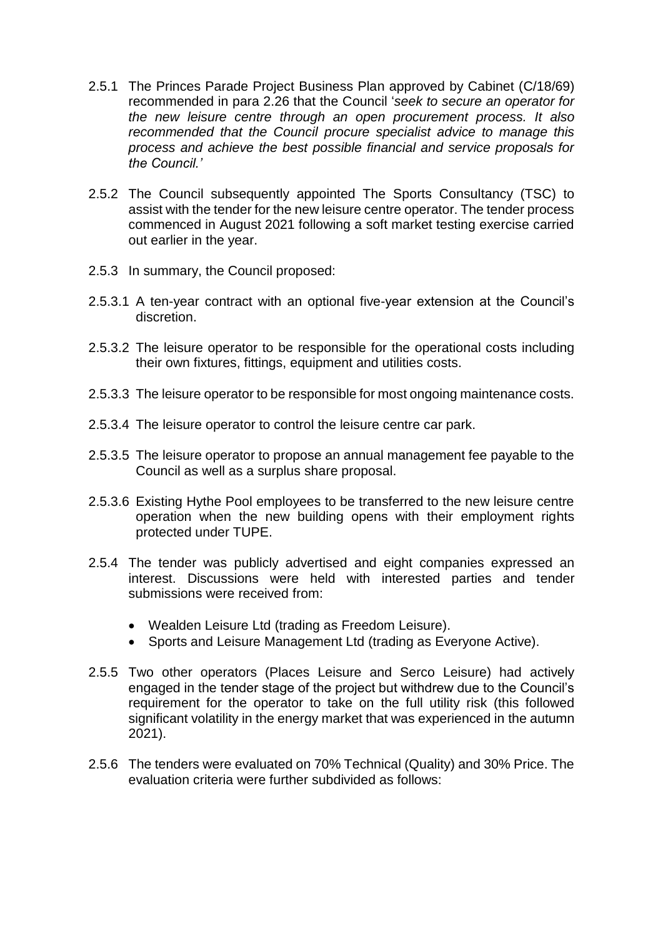- 2.5.1 The Princes Parade Project Business Plan approved by Cabinet (C/18/69) recommended in para 2.26 that the Council '*seek to secure an operator for the new leisure centre through an open procurement process. It also recommended that the Council procure specialist advice to manage this process and achieve the best possible financial and service proposals for the Council.'*
- 2.5.2 The Council subsequently appointed The Sports Consultancy (TSC) to assist with the tender for the new leisure centre operator. The tender process commenced in August 2021 following a soft market testing exercise carried out earlier in the year.
- 2.5.3 In summary, the Council proposed:
- 2.5.3.1 A ten-year contract with an optional five-year extension at the Council's discretion.
- 2.5.3.2 The leisure operator to be responsible for the operational costs including their own fixtures, fittings, equipment and utilities costs.
- 2.5.3.3 The leisure operator to be responsible for most ongoing maintenance costs.
- 2.5.3.4 The leisure operator to control the leisure centre car park.
- 2.5.3.5 The leisure operator to propose an annual management fee payable to the Council as well as a surplus share proposal.
- 2.5.3.6 Existing Hythe Pool employees to be transferred to the new leisure centre operation when the new building opens with their employment rights protected under TUPE.
- 2.5.4 The tender was publicly advertised and eight companies expressed an interest. Discussions were held with interested parties and tender submissions were received from:
	- Wealden Leisure Ltd (trading as Freedom Leisure).
	- Sports and Leisure Management Ltd (trading as Everyone Active).
- 2.5.5 Two other operators (Places Leisure and Serco Leisure) had actively engaged in the tender stage of the project but withdrew due to the Council's requirement for the operator to take on the full utility risk (this followed significant volatility in the energy market that was experienced in the autumn 2021).
- 2.5.6 The tenders were evaluated on 70% Technical (Quality) and 30% Price. The evaluation criteria were further subdivided as follows: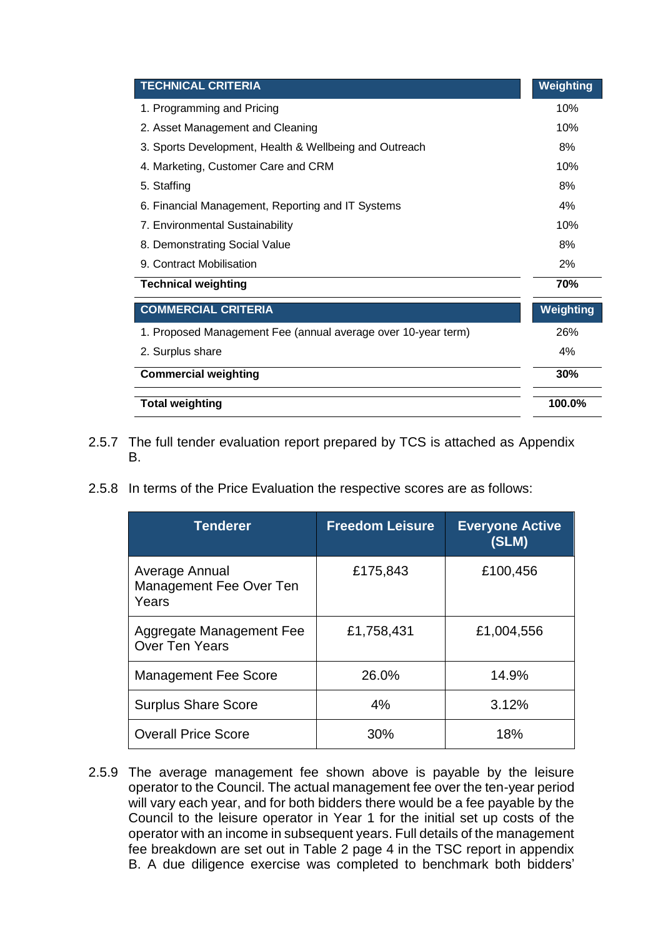| <b>TECHNICAL CRITERIA</b>                                                                                                                                 |                        |                        | Weighting        |
|-----------------------------------------------------------------------------------------------------------------------------------------------------------|------------------------|------------------------|------------------|
| 1. Programming and Pricing                                                                                                                                |                        |                        | 10%              |
| 2. Asset Management and Cleaning                                                                                                                          |                        |                        |                  |
| 3. Sports Development, Health & Wellbeing and Outreach                                                                                                    |                        |                        | 8%               |
| 4. Marketing, Customer Care and CRM                                                                                                                       |                        |                        | 10%              |
| 5. Staffing                                                                                                                                               |                        |                        | 8%               |
| 6. Financial Management, Reporting and IT Systems                                                                                                         |                        |                        | 4%               |
| 7. Environmental Sustainability                                                                                                                           |                        |                        | 10%              |
| 8. Demonstrating Social Value                                                                                                                             |                        |                        | 8%               |
| 9. Contract Mobilisation                                                                                                                                  |                        |                        | 2%               |
| <b>Technical weighting</b>                                                                                                                                |                        |                        | 70%              |
| <b>COMMERCIAL CRITERIA</b>                                                                                                                                |                        |                        | <b>Weighting</b> |
| 1. Proposed Management Fee (annual average over 10-year term)                                                                                             |                        |                        | 26%              |
| 2. Surplus share                                                                                                                                          |                        |                        | 4%               |
| <b>Commercial weighting</b>                                                                                                                               |                        |                        | 30%              |
| <b>Total weighting</b>                                                                                                                                    |                        |                        | 100.0%           |
| The full tender evaluation report prepared by TCS is attached as Appendix<br>В.<br>In terms of the Price Evaluation the respective scores are as follows: |                        |                        |                  |
| <b>Tenderer</b>                                                                                                                                           | <b>Freedom Leisure</b> | <b>Everyone Active</b> |                  |
| Average Annual<br>Management Fee Over Ten<br>Years                                                                                                        | £175,843               | (SLM)<br>£100,456      |                  |
|                                                                                                                                                           | £1,758,431             | £1,004,556             |                  |
|                                                                                                                                                           | 26.0%                  | 14.9%                  |                  |
| Aggregate Management Fee<br><b>Over Ten Years</b><br><b>Management Fee Score</b><br><b>Surplus Share Score</b>                                            | 4%                     | 3.12%                  |                  |
| <b>Overall Price Score</b>                                                                                                                                | 30%                    | 18%                    |                  |

- 2.5.7 The full tender evaluation report prepared by TCS is attached as Appendix B.
- 2.5.8 In terms of the Price Evaluation the respective scores are as follows:

| <b>Tenderer</b>                                    | <b>Freedom Leisure</b> | <b>Everyone Active</b><br>(SLM) |
|----------------------------------------------------|------------------------|---------------------------------|
| Average Annual<br>Management Fee Over Ten<br>Years | £175,843               | £100,456                        |
| Aggregate Management Fee<br><b>Over Ten Years</b>  | £1,758,431             | £1,004,556                      |
| <b>Management Fee Score</b>                        | 26.0%                  | 14.9%                           |
| <b>Surplus Share Score</b>                         | 4%                     | 3.12%                           |
| <b>Overall Price Score</b>                         | 30%                    | 18%                             |

2.5.9 The average management fee shown above is payable by the leisure operator to the Council. The actual management fee over the ten-year period will vary each year, and for both bidders there would be a fee payable by the Council to the leisure operator in Year 1 for the initial set up costs of the operator with an income in subsequent years. Full details of the management fee breakdown are set out in Table 2 page 4 in the TSC report in appendix<br>B. A due diligence exercise was completed to benchmark both bidders'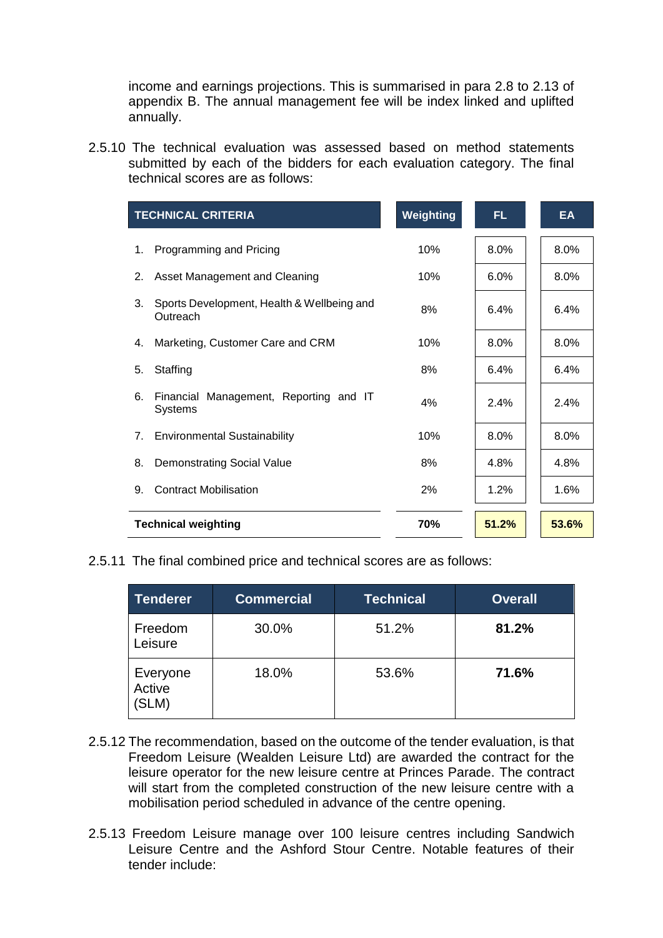income and earnings projections. This is summarised in para 2.8 to 2.13 of appendix B. The annual management fee will be index linked and uplifted annually.

2.5.10 The technical evaluation was assessed based on method statements submitted by each of the bidders for each evaluation category. The final technical scores are as follows:

|    | <b>TECHNICAL CRITERIA</b>                                | Weighting | FL.     | <b>EA</b> |
|----|----------------------------------------------------------|-----------|---------|-----------|
| 1. | Programming and Pricing                                  | 10%       | 8.0%    | 8.0%      |
| 2. | Asset Management and Cleaning                            | 10%       | $6.0\%$ | $8.0\%$   |
| 3. | Sports Development, Health & Wellbeing and<br>Outreach   | 8%        | 6.4%    | 6.4%      |
| 4. | Marketing, Customer Care and CRM                         | 10%       | 8.0%    | 8.0%      |
| 5. | Staffing                                                 | 8%        | 6.4%    | 6.4%      |
| 6. | Financial Management, Reporting and IT<br><b>Systems</b> | 4%        | 2.4%    | 2.4%      |
| 7. | <b>Environmental Sustainability</b>                      | 10%       | $8.0\%$ | 8.0%      |
| 8. | <b>Demonstrating Social Value</b>                        | 8%        | 4.8%    | 4.8%      |
| 9. | <b>Contract Mobilisation</b>                             | 2%        | 1.2%    | $1.6\%$   |
|    | <b>Technical weighting</b>                               | 70%       | 51.2%   | 53.6%     |

2.5.11 The final combined price and technical scores are as follows:

| Tenderer                    | <b>Commercial</b> | Technical | <b>Overall</b> |
|-----------------------------|-------------------|-----------|----------------|
| Freedom<br>Leisure          | 30.0%             | 51.2%     | 81.2%          |
| Everyone<br>Active<br>(SLM) | 18.0%             | 53.6%     | 71.6%          |

- 2.5.12 The recommendation, based on the outcome of the tender evaluation, is that Freedom Leisure (Wealden Leisure Ltd) are awarded the contract for the leisure operator for the new leisure centre at Princes Parade. The contract will start from the completed construction of the new leisure centre with a mobilisation period scheduled in advance of the centre opening.
- 2.5.13 Freedom Leisure manage over 100 leisure centres including Sandwich Leisure Centre and the Ashford Stour Centre. Notable features of their tender include: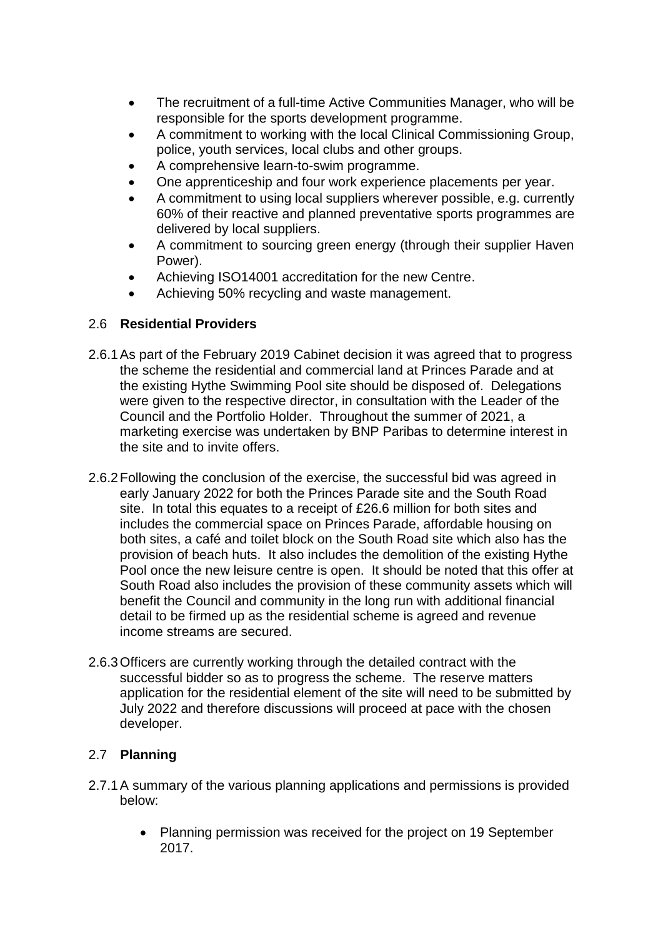- The recruitment of a full-time Active Communities Manager, who will be responsible for the sports development programme.
- A commitment to working with the local Clinical Commissioning Group, police, youth services, local clubs and other groups.
- A comprehensive learn-to-swim programme.
- One apprenticeship and four work experience placements per year.
- A commitment to using local suppliers wherever possible, e.g. currently 60% of their reactive and planned preventative sports programmes are delivered by local suppliers.
- A commitment to sourcing green energy (through their supplier Haven Power).
- Achieving ISO14001 accreditation for the new Centre.
- Achieving 50% recycling and waste management.

#### 2.6 **Residential Providers**

- 2.6.1As part of the February 2019 Cabinet decision it was agreed that to progress the scheme the residential and commercial land at Princes Parade and at the existing Hythe Swimming Pool site should be disposed of. Delegations were given to the respective director, in consultation with the Leader of the Council and the Portfolio Holder. Throughout the summer of 2021, a marketing exercise was undertaken by BNP Paribas to determine interest in the site and to invite offers.
- 2.6.2Following the conclusion of the exercise, the successful bid was agreed in early January 2022 for both the Princes Parade site and the South Road site. In total this equates to a receipt of £26.6 million for both sites and includes the commercial space on Princes Parade, affordable housing on both sites, a café and toilet block on the South Road site which also has the provision of beach huts. It also includes the demolition of the existing Hythe Pool once the new leisure centre is open. It should be noted that this offer at South Road also includes the provision of these community assets which will benefit the Council and community in the long run with additional financial detail to be firmed up as the residential scheme is agreed and revenue income streams are secured.
- 2.6.3Officers are currently working through the detailed contract with the successful bidder so as to progress the scheme. The reserve matters application for the residential element of the site will need to be submitted by July 2022 and therefore discussions will proceed at pace with the chosen developer.

## 2.7 **Planning**

- 2.7.1A summary of the various planning applications and permissions is provided below:
	- Planning permission was received for the project on 19 September 2017.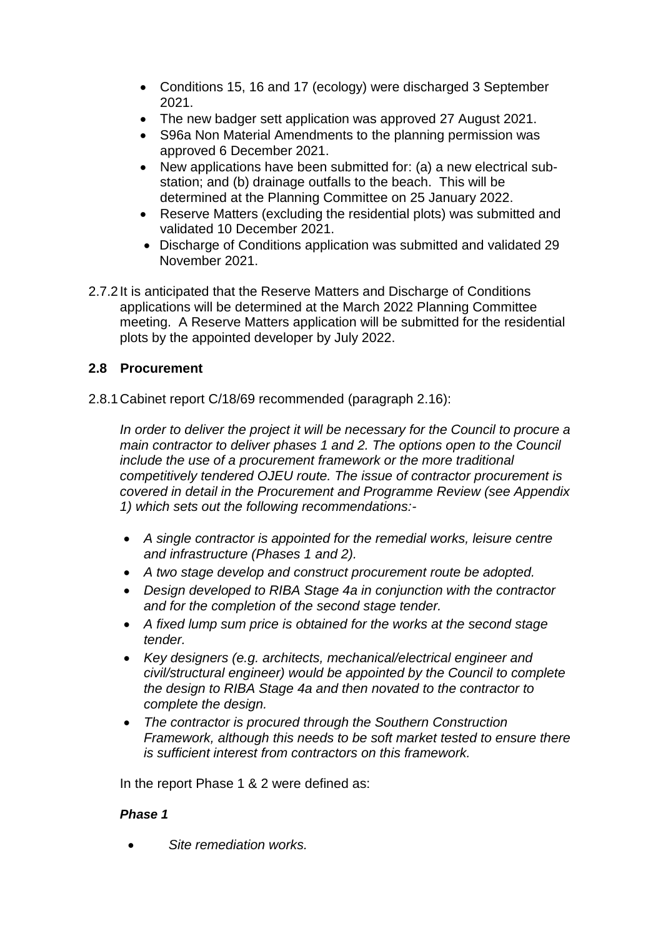- Conditions 15, 16 and 17 (ecology) were discharged 3 September 2021.
- The new badger sett application was approved 27 August 2021.
- S96a Non Material Amendments to the planning permission was approved 6 December 2021.
- New applications have been submitted for: (a) a new electrical substation; and (b) drainage outfalls to the beach. This will be determined at the Planning Committee on 25 January 2022.
- Reserve Matters (excluding the residential plots) was submitted and validated 10 December 2021.
- Discharge of Conditions application was submitted and validated 29 November 2021.
- 2.7.2It is anticipated that the Reserve Matters and Discharge of Conditions applications will be determined at the March 2022 Planning Committee meeting. A Reserve Matters application will be submitted for the residential plots by the appointed developer by July 2022.

## **2.8 Procurement**

2.8.1Cabinet report C/18/69 recommended (paragraph 2.16):

*In order to deliver the project it will be necessary for the Council to procure a main contractor to deliver phases 1 and 2. The options open to the Council include the use of a procurement framework or the more traditional competitively tendered OJEU route. The issue of contractor procurement is covered in detail in the Procurement and Programme Review (see Appendix 1) which sets out the following recommendations:-*

- *A single contractor is appointed for the remedial works, leisure centre and infrastructure (Phases 1 and 2).*
- *A two stage develop and construct procurement route be adopted.*
- *Design developed to RIBA Stage 4a in conjunction with the contractor and for the completion of the second stage tender.*
- *A fixed lump sum price is obtained for the works at the second stage tender.*
- *Key designers (e.g. architects, mechanical/electrical engineer and civil/structural engineer) would be appointed by the Council to complete the design to RIBA Stage 4a and then novated to the contractor to complete the design.*
- *The contractor is procured through the Southern Construction Framework, although this needs to be soft market tested to ensure there is sufficient interest from contractors on this framework.*

In the report Phase 1 & 2 were defined as:

## *Phase 1*

*Site remediation works.*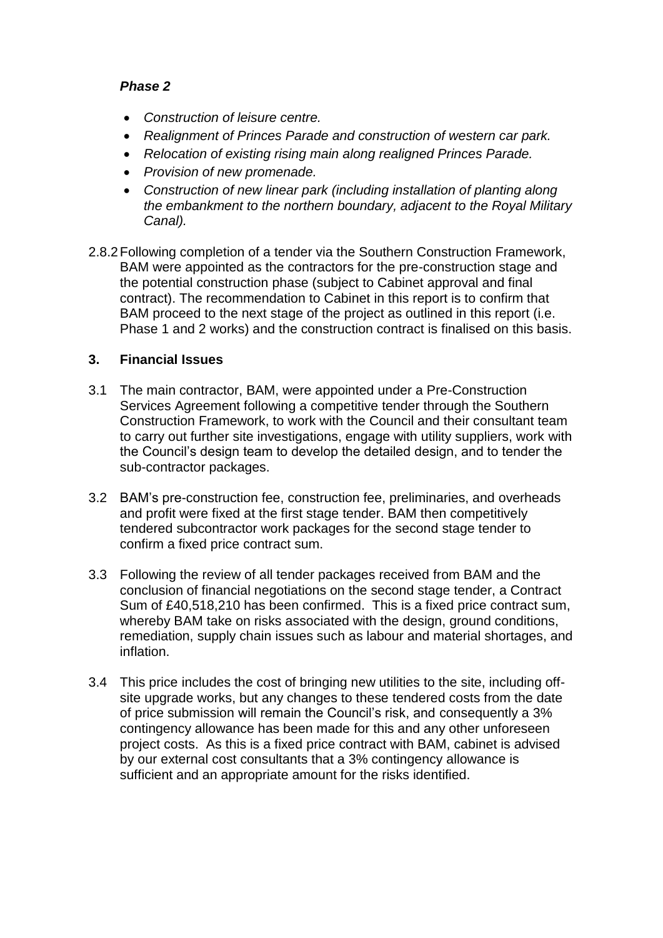### *Phase 2*

- *Construction of leisure centre.*
- *Realignment of Princes Parade and construction of western car park.*
- *Relocation of existing rising main along realigned Princes Parade.*
- *Provision of new promenade.*
- *Construction of new linear park (including installation of planting along the embankment to the northern boundary, adjacent to the Royal Military Canal).*
- 2.8.2Following completion of a tender via the Southern Construction Framework, BAM were appointed as the contractors for the pre-construction stage and the potential construction phase (subject to Cabinet approval and final contract). The recommendation to Cabinet in this report is to confirm that BAM proceed to the next stage of the project as outlined in this report (i.e. Phase 1 and 2 works) and the construction contract is finalised on this basis.

## **3. Financial Issues**

- 3.1 The main contractor, BAM, were appointed under a Pre-Construction Services Agreement following a competitive tender through the Southern Construction Framework, to work with the Council and their consultant team to carry out further site investigations, engage with utility suppliers, work with the Council's design team to develop the detailed design, and to tender the sub-contractor packages.
- 3.2 BAM's pre-construction fee, construction fee, preliminaries, and overheads and profit were fixed at the first stage tender. BAM then competitively tendered subcontractor work packages for the second stage tender to confirm a fixed price contract sum.
- 3.3 Following the review of all tender packages received from BAM and the conclusion of financial negotiations on the second stage tender, a Contract Sum of £40,518,210 has been confirmed. This is a fixed price contract sum, whereby BAM take on risks associated with the design, ground conditions, remediation, supply chain issues such as labour and material shortages, and inflation.
- 3.4 This price includes the cost of bringing new utilities to the site, including offsite upgrade works, but any changes to these tendered costs from the date of price submission will remain the Council's risk, and consequently a 3% contingency allowance has been made for this and any other unforeseen project costs. As this is a fixed price contract with BAM, cabinet is advised by our external cost consultants that a 3% contingency allowance is sufficient and an appropriate amount for the risks identified.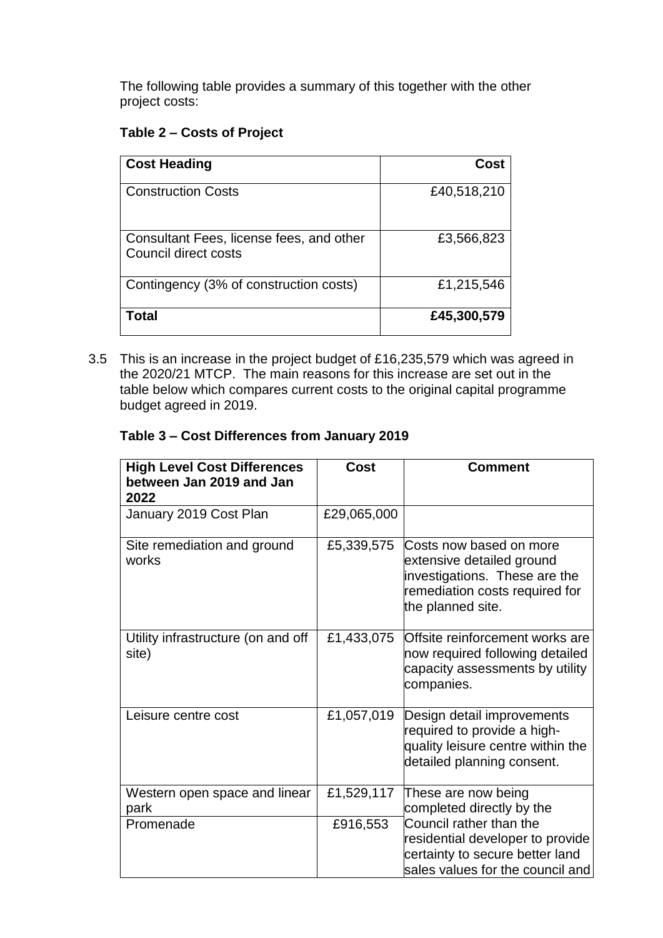The following table provides a summary of this together with the other project costs:

#### **Table 2 – Costs of Project**

| <b>Cost Heading</b>                                              | Cost        |
|------------------------------------------------------------------|-------------|
| <b>Construction Costs</b>                                        | £40,518,210 |
| Consultant Fees, license fees, and other<br>Council direct costs | £3,566,823  |
| Contingency (3% of construction costs)                           | £1,215,546  |
| Total                                                            | £45,300,579 |

3.5 This is an increase in the project budget of £16,235,579 which was agreed in the 2020/21 MTCP. The main reasons for this increase are set out in the table below which compares current costs to the original capital programme budget agreed in 2019.

## **Table 3 – Cost Differences from January 2019**

| <b>High Level Cost Differences</b><br>between Jan 2019 and Jan<br>2022 | Cost        | <b>Comment</b>                                                                                                                               |
|------------------------------------------------------------------------|-------------|----------------------------------------------------------------------------------------------------------------------------------------------|
| January 2019 Cost Plan                                                 | £29,065,000 |                                                                                                                                              |
| Site remediation and ground<br>works                                   | £5,339,575  | Costs now based on more<br>extensive detailed ground<br>investigations. These are the<br>remediation costs required for<br>the planned site. |
| Utility infrastructure (on and off<br>site)                            | £1,433,075  | Offsite reinforcement works are<br>now required following detailed<br>capacity assessments by utility<br>companies.                          |
| Leisure centre cost                                                    | £1,057,019  | Design detail improvements<br>required to provide a high-<br>quality leisure centre within the<br>detailed planning consent.                 |
| Western open space and linear<br>park                                  | £1,529,117  | These are now being<br>completed directly by the                                                                                             |
| Promenade                                                              | £916,553    | Council rather than the<br>residential developer to provide<br>certainty to secure better land<br>sales values for the council and           |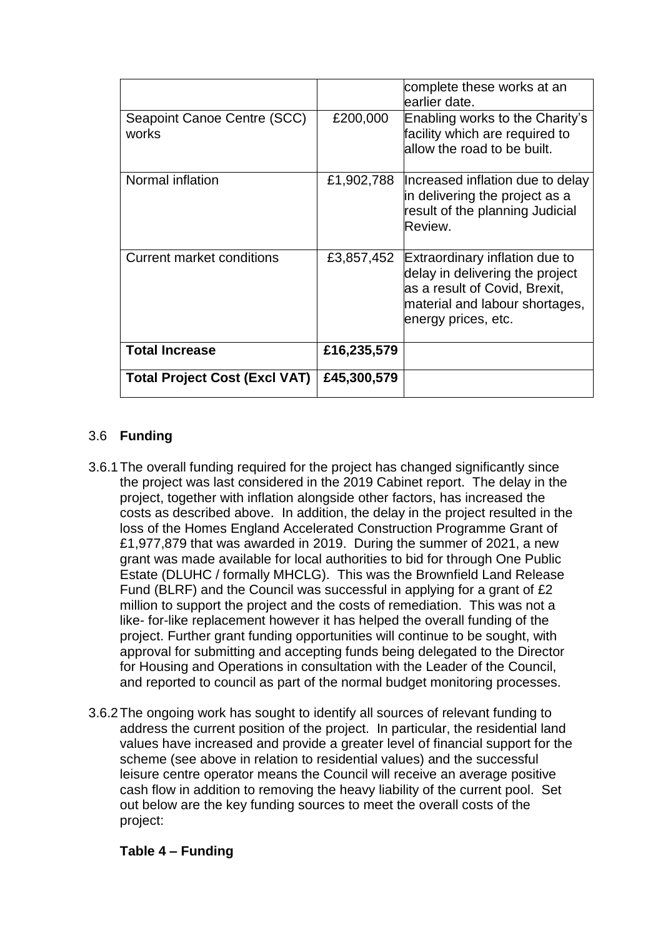|                                      |             | complete these works at an<br>learlier date.                                                                                                                |
|--------------------------------------|-------------|-------------------------------------------------------------------------------------------------------------------------------------------------------------|
| Seapoint Canoe Centre (SCC)<br>works | £200,000    | Enabling works to the Charity's<br>facility which are required to<br>allow the road to be built.                                                            |
| Normal inflation                     | £1,902,788  | Increased inflation due to delay<br>in delivering the project as a<br>result of the planning Judicial<br>Review.                                            |
| <b>Current market conditions</b>     | £3,857,452  | Extraordinary inflation due to<br>delay in delivering the project<br>as a result of Covid, Brexit,<br>material and labour shortages,<br>energy prices, etc. |
| <b>Total Increase</b>                | £16,235,579 |                                                                                                                                                             |
| <b>Total Project Cost (Excl VAT)</b> | £45,300,579 |                                                                                                                                                             |

## 3.6 **Funding**

- 3.6.1The overall funding required for the project has changed significantly since the project was last considered in the 2019 Cabinet report. The delay in the project, together with inflation alongside other factors, has increased the costs as described above. In addition, the delay in the project resulted in the loss of the Homes England Accelerated Construction Programme Grant of £1,977,879 that was awarded in 2019. During the summer of 2021, a new grant was made available for local authorities to bid for through One Public Estate (DLUHC / formally MHCLG). This was the Brownfield Land Release Fund (BLRF) and the Council was successful in applying for a grant of £2 million to support the project and the costs of remediation. This was not a like- for-like replacement however it has helped the overall funding of the project. Further grant funding opportunities will continue to be sought, with approval for submitting and accepting funds being delegated to the Director for Housing and Operations in consultation with the Leader of the Council, and reported to council as part of the normal budget monitoring processes.
- 3.6.2The ongoing work has sought to identify all sources of relevant funding to address the current position of the project. In particular, the residential land values have increased and provide a greater level of financial support for the scheme (see above in relation to residential values) and the successful leisure centre operator means the Council will receive an average positive cash flow in addition to removing the heavy liability of the current pool. Set out below are the key funding sources to meet the overall costs of the project:

#### **Table 4 – Funding**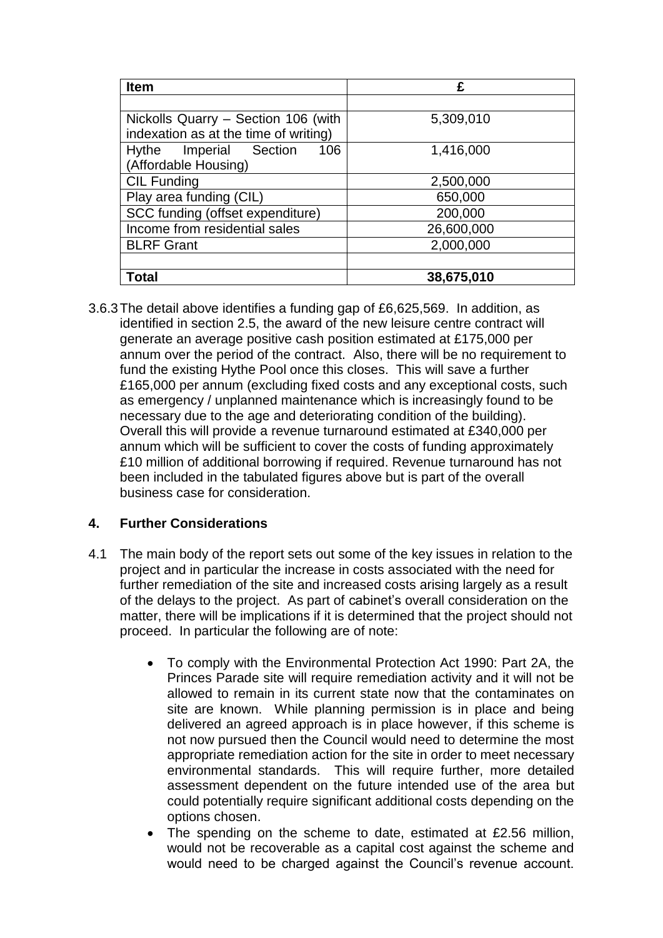| <b>Item</b>                           | £          |
|---------------------------------------|------------|
|                                       |            |
| Nickolls Quarry - Section 106 (with   | 5,309,010  |
| indexation as at the time of writing) |            |
| Hythe Imperial Section<br>106         | 1,416,000  |
| (Affordable Housing)                  |            |
| <b>CIL Funding</b>                    | 2,500,000  |
| Play area funding (CIL)               | 650,000    |
| SCC funding (offset expenditure)      | 200,000    |
| Income from residential sales         | 26,600,000 |
| <b>BLRF Grant</b>                     | 2,000,000  |
|                                       |            |
| Total                                 | 38,675,010 |

3.6.3The detail above identifies a funding gap of £6,625,569. In addition, as identified in section 2.5, the award of the new leisure centre contract will generate an average positive cash position estimated at £175,000 per annum over the period of the contract. Also, there will be no requirement to fund the existing Hythe Pool once this closes. This will save a further £165,000 per annum (excluding fixed costs and any exceptional costs, such as emergency / unplanned maintenance which is increasingly found to be necessary due to the age and deteriorating condition of the building). Overall this will provide a revenue turnaround estimated at £340,000 per annum which will be sufficient to cover the costs of funding approximately £10 million of additional borrowing if required. Revenue turnaround has not been included in the tabulated figures above but is part of the overall business case for consideration.

## **4. Further Considerations**

- 4.1 The main body of the report sets out some of the key issues in relation to the project and in particular the increase in costs associated with the need for further remediation of the site and increased costs arising largely as a result of the delays to the project. As part of cabinet's overall consideration on the matter, there will be implications if it is determined that the project should not proceed. In particular the following are of note:
	- To comply with the Environmental Protection Act 1990: Part 2A, the Princes Parade site will require remediation activity and it will not be allowed to remain in its current state now that the contaminates on site are known. While planning permission is in place and being delivered an agreed approach is in place however, if this scheme is not now pursued then the Council would need to determine the most appropriate remediation action for the site in order to meet necessary environmental standards. This will require further, more detailed assessment dependent on the future intended use of the area but could potentially require significant additional costs depending on the options chosen.
	- The spending on the scheme to date, estimated at £2.56 million, would not be recoverable as a capital cost against the scheme and would need to be charged against the Council's revenue account.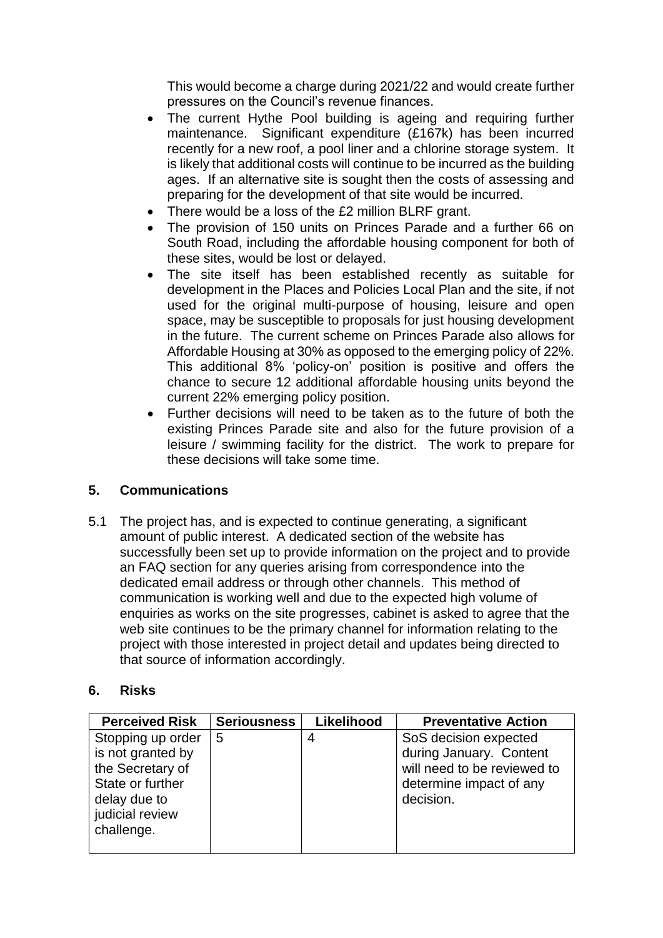This would become a charge during 2021/22 and would create further pressures on the Council's revenue finances.

- The current Hythe Pool building is ageing and requiring further maintenance. Significant expenditure (£167k) has been incurred recently for a new roof, a pool liner and a chlorine storage system. It is likely that additional costs will continue to be incurred as the building ages. If an alternative site is sought then the costs of assessing and preparing for the development of that site would be incurred.
- There would be a loss of the £2 million BLRF grant.
- The provision of 150 units on Princes Parade and a further 66 on South Road, including the affordable housing component for both of these sites, would be lost or delayed.
- The site itself has been established recently as suitable for development in the Places and Policies Local Plan and the site, if not used for the original multi-purpose of housing, leisure and open space, may be susceptible to proposals for just housing development in the future. The current scheme on Princes Parade also allows for Affordable Housing at 30% as opposed to the emerging policy of 22%. This additional 8% 'policy-on' position is positive and offers the chance to secure 12 additional affordable housing units beyond the current 22% emerging policy position.
- Further decisions will need to be taken as to the future of both the existing Princes Parade site and also for the future provision of a leisure / swimming facility for the district. The work to prepare for these decisions will take some time.

## **5. Communications**

5.1 The project has, and is expected to continue generating, a significant amount of public interest. A dedicated section of the website has successfully been set up to provide information on the project and to provide an FAQ section for any queries arising from correspondence into the dedicated email address or through other channels. This method of communication is working well and due to the expected high volume of enquiries as works on the site progresses, cabinet is asked to agree that the web site continues to be the primary channel for information relating to the project with those interested in project detail and updates being directed to that source of information accordingly.

#### **6. Risks**

| <b>Perceived Risk</b> | <b>Seriousness</b> | Likelihood | <b>Preventative Action</b>  |
|-----------------------|--------------------|------------|-----------------------------|
| Stopping up order     | 5                  |            | SoS decision expected       |
| is not granted by     |                    |            | during January. Content     |
| the Secretary of      |                    |            | will need to be reviewed to |
| State or further      |                    |            | determine impact of any     |
| delay due to          |                    |            | decision.                   |
| judicial review       |                    |            |                             |
| challenge.            |                    |            |                             |
|                       |                    |            |                             |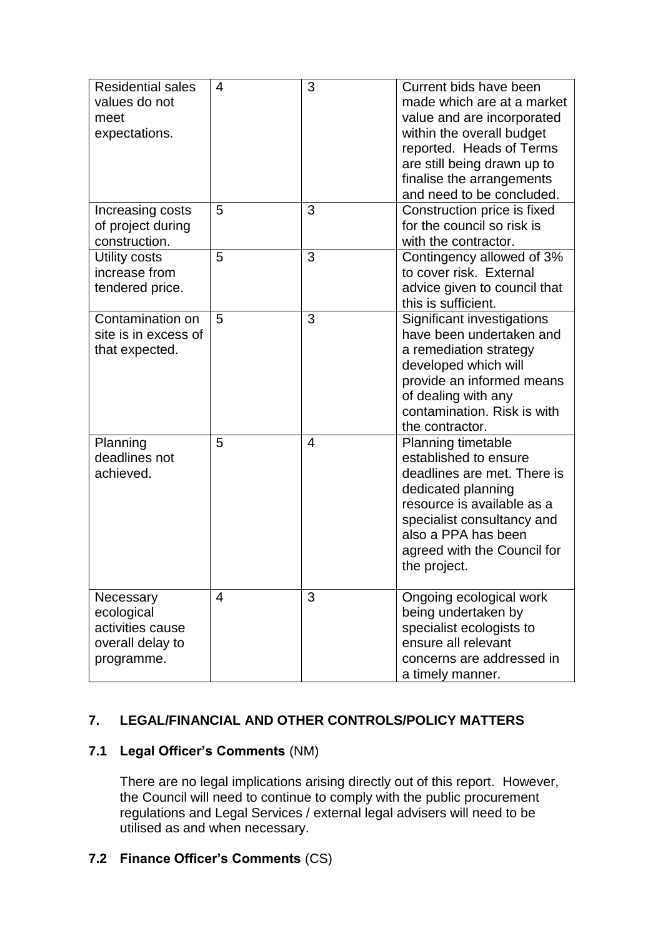| <b>Residential sales</b><br>values do not<br>meet<br>expectations.            | 4              | 3 | Current bids have been<br>made which are at a market<br>value and are incorporated<br>within the overall budget<br>reported. Heads of Terms<br>are still being drawn up to<br>finalise the arrangements<br>and need to be concluded.      |
|-------------------------------------------------------------------------------|----------------|---|-------------------------------------------------------------------------------------------------------------------------------------------------------------------------------------------------------------------------------------------|
| Increasing costs<br>of project during<br>construction.                        | 5              | 3 | Construction price is fixed<br>for the council so risk is<br>with the contractor.                                                                                                                                                         |
| Utility costs<br>increase from<br>tendered price.                             | 5              | 3 | Contingency allowed of 3%<br>to cover risk. External<br>advice given to council that<br>this is sufficient.                                                                                                                               |
| Contamination on<br>site is in excess of<br>that expected.                    | 5              | 3 | Significant investigations<br>have been undertaken and<br>a remediation strategy<br>developed which will<br>provide an informed means<br>of dealing with any<br>contamination. Risk is with<br>the contractor.                            |
| Planning<br>deadlines not<br>achieved.                                        | 5              | 4 | <b>Planning timetable</b><br>established to ensure<br>deadlines are met. There is<br>dedicated planning<br>resource is available as a<br>specialist consultancy and<br>also a PPA has been<br>agreed with the Council for<br>the project. |
| Necessary<br>ecological<br>activities cause<br>overall delay to<br>programme. | $\overline{4}$ | 3 | Ongoing ecological work<br>being undertaken by<br>specialist ecologists to<br>ensure all relevant<br>concerns are addressed in<br>a timely manner.                                                                                        |

# **7. LEGAL/FINANCIAL AND OTHER CONTROLS/POLICY MATTERS**

## **7.1 Legal Officer's Comments** (NM)

There are no legal implications arising directly out of this report. However, the Council will need to continue to comply with the public procurement regulations and Legal Services / external legal advisers will need to be utilised as and when necessary.

## **7.2 Finance Officer's Comments** (CS)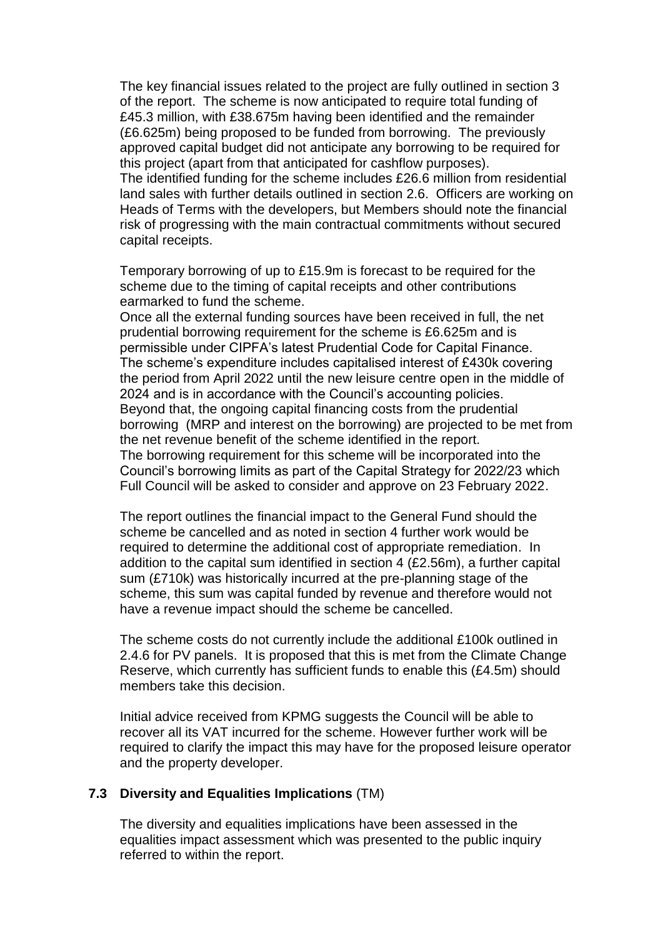The key financial issues related to the project are fully outlined in section 3 of the report. The scheme is now anticipated to require total funding of £45.3 million, with £38.675m having been identified and the remainder (£6.625m) being proposed to be funded from borrowing. The previously approved capital budget did not anticipate any borrowing to be required for this project (apart from that anticipated for cashflow purposes). The identified funding for the scheme includes £26.6 million from residential land sales with further details outlined in section 2.6. Officers are working on Heads of Terms with the developers, but Members should note the financial risk of progressing with the main contractual commitments without secured capital receipts.

Temporary borrowing of up to £15.9m is forecast to be required for the scheme due to the timing of capital receipts and other contributions earmarked to fund the scheme.

Once all the external funding sources have been received in full, the net prudential borrowing requirement for the scheme is £6.625m and is permissible under CIPFA's latest Prudential Code for Capital Finance. The scheme's expenditure includes capitalised interest of £430k covering the period from April 2022 until the new leisure centre open in the middle of 2024 and is in accordance with the Council's accounting policies. Beyond that, the ongoing capital financing costs from the prudential borrowing (MRP and interest on the borrowing) are projected to be met from the net revenue benefit of the scheme identified in the report. The borrowing requirement for this scheme will be incorporated into the Council's borrowing limits as part of the Capital Strategy for 2022/23 which Full Council will be asked to consider and approve on 23 February 2022.

The report outlines the financial impact to the General Fund should the scheme be cancelled and as noted in section 4 further work would be required to determine the additional cost of appropriate remediation. In addition to the capital sum identified in section 4 (£2.56m), a further capital sum (£710k) was historically incurred at the pre-planning stage of the scheme, this sum was capital funded by revenue and therefore would not have a revenue impact should the scheme be cancelled.

The scheme costs do not currently include the additional £100k outlined in 2.4.6 for PV panels. It is proposed that this is met from the Climate Change Reserve, which currently has sufficient funds to enable this (£4.5m) should members take this decision.

Initial advice received from KPMG suggests the Council will be able to recover all its VAT incurred for the scheme. However further work will be required to clarify the impact this may have for the proposed leisure operator and the property developer.

#### **7.3 Diversity and Equalities Implications** (TM)

The diversity and equalities implications have been assessed in the equalities impact assessment which was presented to the public inquiry referred to within the report.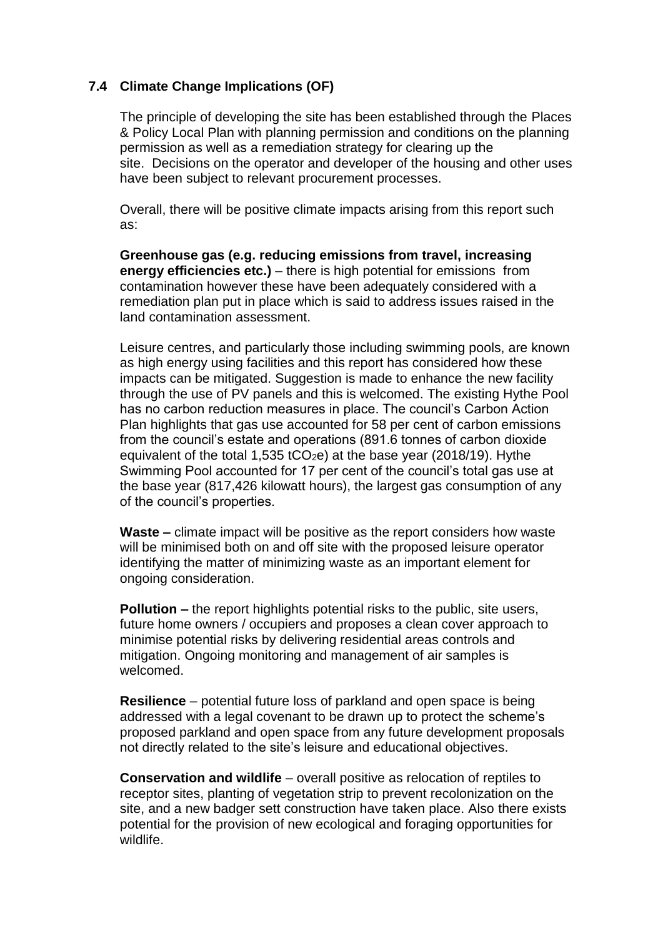## **7.4 Climate Change Implications (OF)**

The principle of developing the site has been established through the Places & Policy Local Plan with planning permission and conditions on the planning permission as well as a remediation strategy for clearing up the site. Decisions on the operator and developer of the housing and other uses have been subject to relevant procurement processes.

Overall, there will be positive climate impacts arising from this report such as:

**Greenhouse gas (e.g. reducing emissions from travel, increasing energy efficiencies etc.)** – there is high potential for emissions from contamination however these have been adequately considered with a remediation plan put in place which is said to address issues raised in the land contamination assessment.

Leisure centres, and particularly those including swimming pools, are known as high energy using facilities and this report has considered how these impacts can be mitigated. Suggestion is made to enhance the new facility through the use of PV panels and this is welcomed. The existing Hythe Pool has no carbon reduction measures in place. The council's Carbon Action Plan highlights that gas use accounted for 58 per cent of carbon emissions from the council's estate and operations (891.6 tonnes of carbon dioxide equivalent of the total 1,535 tCO<sub>2</sub>e) at the base year (2018/19). Hythe Swimming Pool accounted for 17 per cent of the council's total gas use at the base year (817,426 kilowatt hours), the largest gas consumption of any of the council's properties.

**Waste –** climate impact will be positive as the report considers how waste will be minimised both on and off site with the proposed leisure operator identifying the matter of minimizing waste as an important element for ongoing consideration.

**Pollution –** the report highlights potential risks to the public, site users, future home owners / occupiers and proposes a clean cover approach to minimise potential risks by delivering residential areas controls and mitigation. Ongoing monitoring and management of air samples is welcomed.

**Resilience** – potential future loss of parkland and open space is being addressed with a legal covenant to be drawn up to protect the scheme's proposed parkland and open space from any future development proposals not directly related to the site's leisure and educational objectives.

**Conservation and wildlife** – overall positive as relocation of reptiles to receptor sites, planting of vegetation strip to prevent recolonization on the site, and a new badger sett construction have taken place. Also there exists potential for the provision of new ecological and foraging opportunities for wildlife.